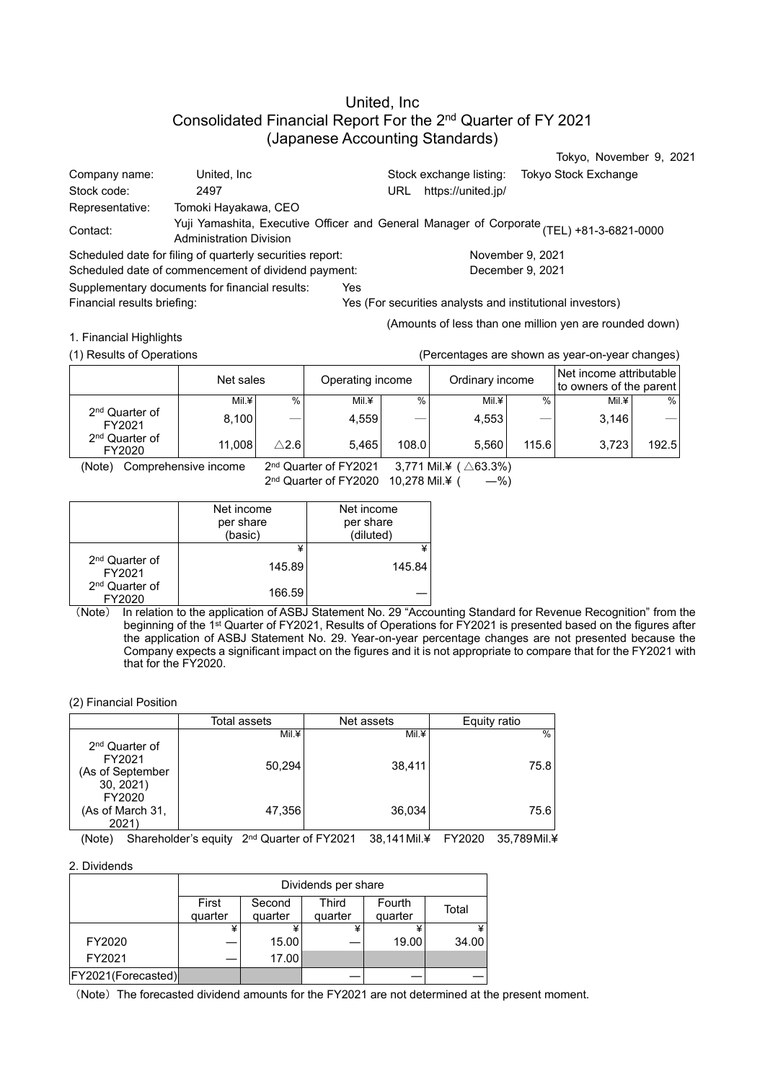# United, Inc Consolidated Financial Report For the 2<sup>nd</sup> Quarter of FY 2021 (Japanese Accounting Standards)

|                                                           |                                                                                                                            |                 |                                   |               |                                                           |                  | Tokyo, November 9, 2021                            |       |
|-----------------------------------------------------------|----------------------------------------------------------------------------------------------------------------------------|-----------------|-----------------------------------|---------------|-----------------------------------------------------------|------------------|----------------------------------------------------|-------|
| Company name:                                             | United, Inc.                                                                                                               |                 |                                   |               | Stock exchange listing:                                   |                  | Tokyo Stock Exchange                               |       |
| Stock code:                                               | 2497                                                                                                                       |                 |                                   | URL           | https://united.jp/                                        |                  |                                                    |       |
| Representative:                                           | Tomoki Hayakawa, CEO                                                                                                       |                 |                                   |               |                                                           |                  |                                                    |       |
| Contact:                                                  | Yuji Yamashita, Executive Officer and General Manager of Corporate (TEL) +81-3-6821-0000<br><b>Administration Division</b> |                 |                                   |               |                                                           |                  |                                                    |       |
| Scheduled date for filing of quarterly securities report: |                                                                                                                            |                 |                                   |               |                                                           | November 9, 2021 |                                                    |       |
| Scheduled date of commencement of dividend payment:       |                                                                                                                            |                 |                                   |               |                                                           | December 9, 2021 |                                                    |       |
| Supplementary documents for financial results:            |                                                                                                                            |                 | Yes                               |               |                                                           |                  |                                                    |       |
| Financial results briefing:                               |                                                                                                                            |                 |                                   |               | Yes (For securities analysts and institutional investors) |                  |                                                    |       |
|                                                           |                                                                                                                            |                 |                                   |               | (Amounts of less than one million yen are rounded down)   |                  |                                                    |       |
| 1. Financial Highlights                                   |                                                                                                                            |                 |                                   |               |                                                           |                  |                                                    |       |
| (1) Results of Operations                                 |                                                                                                                            |                 |                                   |               | (Percentages are shown as year-on-year changes)           |                  |                                                    |       |
|                                                           | Net sales                                                                                                                  |                 | Operating income                  |               | Ordinary income                                           |                  | Net income attributable<br>to owners of the parent |       |
|                                                           | Mil.¥                                                                                                                      | $\%$            | Mil.¥                             | $\frac{0}{0}$ | $Mil.$ ¥                                                  | $\%$             | Mil.¥                                              | $\%$  |
| 2 <sup>nd</sup> Quarter of<br>FY2021                      | 8,100                                                                                                                      |                 | 4,559                             |               | 4,553                                                     |                  | 3,146                                              |       |
| 2 <sup>nd</sup> Quarter of<br>FY2020                      | 11,008                                                                                                                     | $\triangle$ 2.6 | 5,465                             | 108.0         | 5,560                                                     | 115.6            | 3,723                                              | 192.5 |
| (Note)                                                    | Comprehensive income                                                                                                       |                 | 2 <sup>nd</sup> Quarter of FY2021 |               | 3,771 Mil.¥ ( $\triangle$ 63.3%)                          |                  |                                                    |       |
|                                                           |                                                                                                                            |                 | 2nd Quarter of FY2020             |               | 10,278 Mil.¥ (<br>$-$ %)                                  |                  |                                                    |       |

|                                      | Net income<br>per share<br>(basic) | Net income<br>per share<br>(diluted) |
|--------------------------------------|------------------------------------|--------------------------------------|
| 2 <sup>nd</sup> Quarter of<br>FY2021 | 145.89                             | 145.84                               |
| 2 <sup>nd</sup> Quarter of<br>FY2020 | 166.59                             |                                      |

(Note) In relation to the application of ASBJ Statement No. 29 "Accounting Standard for Revenue Recognition" from the beginning of the 1 st Quarter of FY2021, Results of Operations for FY2021 is presented based on the figures after the application of ASBJ Statement No. 29. Year-on-year percentage changes are not presented because the Company expects a significant impact on the figures and it is not appropriate to compare that for the FY2021 with that for the FY2020.

#### (2) Financial Position

|                                                  | Total assets | Net assets | Equity ratio |
|--------------------------------------------------|--------------|------------|--------------|
| 2 <sup>nd</sup> Quarter of                       | Mil.¥        | Mil.¥      | $\%$         |
| FY2021<br>(As of September<br>30, 2021<br>FY2020 | 50,294       | 38,411     | 75.8         |
| (As of March 31,<br>2021                         | 47,356       | 36,034     | 75.6         |

(Note) Shareholder's equity 2<sup>nd</sup> Quarter of FY2021 38,141Mil.¥ FY2020 35,789Mil.¥

### 2. Dividends

|                    | Dividends per share |         |         |         |       |  |
|--------------------|---------------------|---------|---------|---------|-------|--|
|                    | First               | Second  | Third   | Fourth  | Total |  |
|                    | quarter             | quarter | quarter | quarter |       |  |
|                    |                     |         |         |         |       |  |
| FY2020             |                     | 15.00   |         | 19.00   | 34.00 |  |
| FY2021             |                     | 17.00   |         |         |       |  |
| FY2021(Forecasted) |                     |         |         |         |       |  |

(Note) The forecasted dividend amounts for the FY2021 are not determined at the present moment.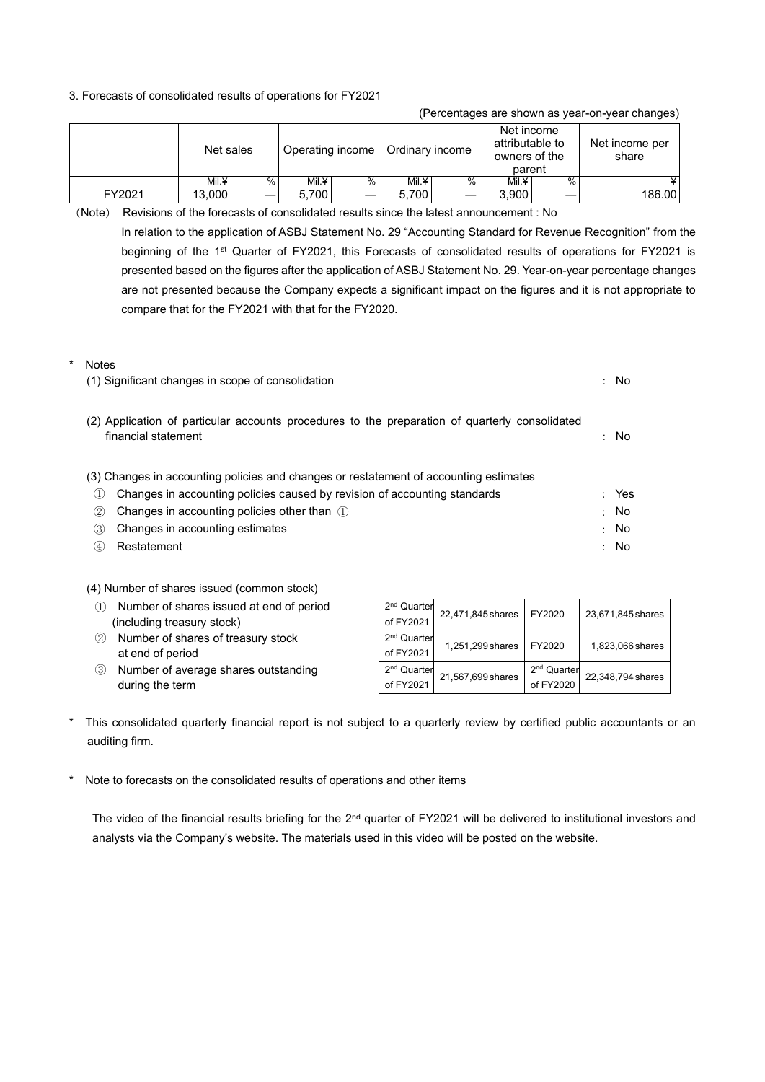#### 3. Forecasts of consolidated results of operations for FY2021

|        |           |      |                  |   |                 | ີ    |                                                          |      | ັ                       |
|--------|-----------|------|------------------|---|-----------------|------|----------------------------------------------------------|------|-------------------------|
|        | Net sales |      | Operating income |   | Ordinary income |      | Net income<br>attributable to<br>owners of the<br>parent |      | Net income per<br>share |
|        | Mil.¥     | $\%$ | Mil.¥            | ℅ | Mil.¥           | $\%$ | Mil.¥                                                    | $\%$ |                         |
| FY2021 | 13.000    | —    | 5.700            |   | 5.700           |      | 3.900                                                    |      | 186.00                  |

(Percentages are shown as year-on-year changes)

(Note) Revisions of the forecasts of consolidated results since the latest announcement : No In relation to the application of ASBJ Statement No. 29 "Accounting Standard for Revenue Recognition" from the beginning of the 1st Quarter of FY2021, this Forecasts of consolidated results of operations for FY2021 is presented based on the figures after the application of ASBJ Statement No. 29. Year-on-year percentage changes are not presented because the Company expects a significant impact on the figures and it is not appropriate to compare that for the FY2021 with that for the FY2020.

| * | <b>Notes</b>                                                                                                          |        |       |
|---|-----------------------------------------------------------------------------------------------------------------------|--------|-------|
|   | (1) Significant changes in scope of consolidation                                                                     |        | : No  |
|   | (2) Application of particular accounts procedures to the preparation of quarterly consolidated<br>financial statement |        | : No  |
|   | (3) Changes in accounting policies and changes or restatement of accounting estimates                                 |        |       |
|   | Changes in accounting policies caused by revision of accounting standards<br>(1)                                      |        | : Yes |
|   | Changes in accounting policies other than $(1)$<br>(2)                                                                | $\sim$ | - No  |
|   | (3)<br>Changes in accounting estimates                                                                                | ÷      | No.   |
|   | (4)<br>Restatement                                                                                                    | ÷      | No    |

(4) Number of shares issued (common stock)

- ① Number of shares issued at end of period (including treasury stock)
- ② Number of shares of treasury stock at end of period
- ③ Number of average shares outstanding during the term

| 2 <sup>nd</sup> Quarter<br>of FY2021 | 22,471,845 shares | FY2020                               | 23,671,845 shares |
|--------------------------------------|-------------------|--------------------------------------|-------------------|
| 2 <sup>nd</sup> Quarter<br>of FY2021 | 1,251,299 shares  | FY2020                               | 1,823,066 shares  |
| 2 <sup>nd</sup> Quarter<br>of FY2021 | 21,567,699 shares | 2 <sup>nd</sup> Quarter<br>of FY2020 | 22,348,794 shares |

- This consolidated quarterly financial report is not subject to a quarterly review by certified public accountants or an auditing firm.
- Note to forecasts on the consolidated results of operations and other items

The video of the financial results briefing for the 2<sup>nd</sup> quarter of FY2021 will be delivered to institutional investors and analysts via the Company's website. The materials used in this video will be posted on the website.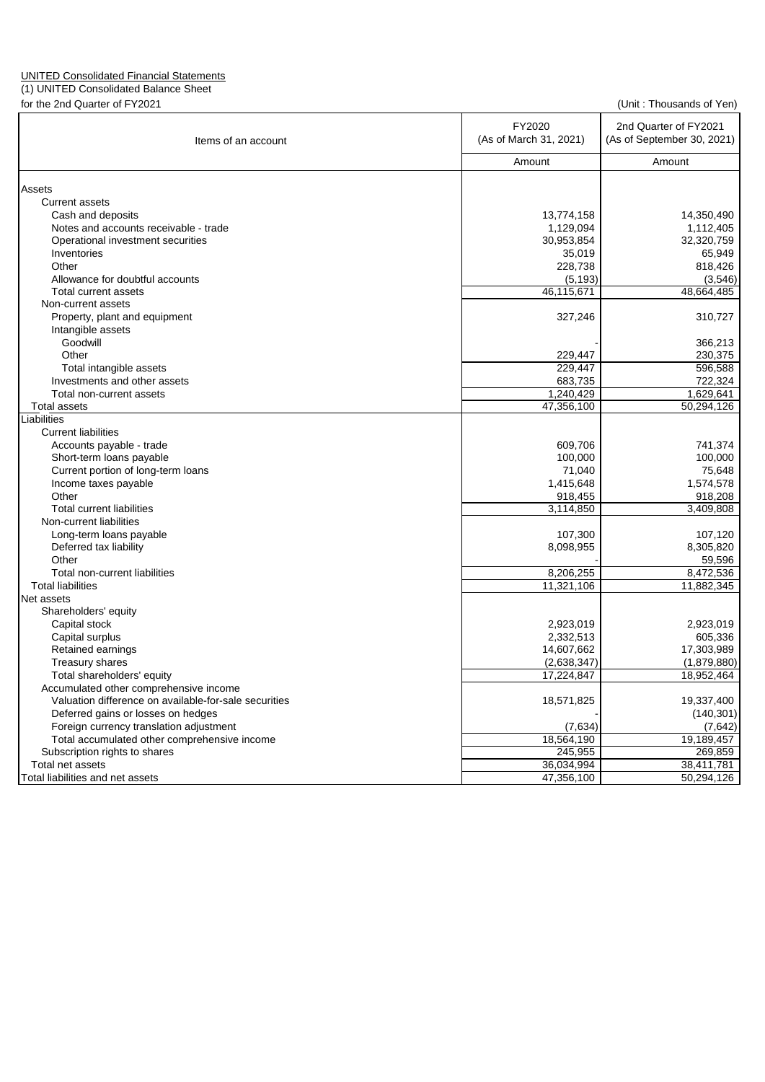## UNITED Consolidated Financial Statements

(1) UNITED Consolidated Balance Sheet

| (Unit: Thousands of Yen) |  |  |
|--------------------------|--|--|
|--------------------------|--|--|

| for the 2nd Quarter of FY2021                         | (Unit: Thousands of Yen) |                            |  |  |
|-------------------------------------------------------|--------------------------|----------------------------|--|--|
|                                                       | FY2020                   | 2nd Quarter of FY2021      |  |  |
| Items of an account                                   | (As of March 31, 2021)   | (As of September 30, 2021) |  |  |
|                                                       | Amount                   | Amount                     |  |  |
| Assets                                                |                          |                            |  |  |
| <b>Current assets</b>                                 |                          |                            |  |  |
| Cash and deposits                                     | 13,774,158               | 14,350,490                 |  |  |
| Notes and accounts receivable - trade                 | 1,129,094                | 1,112,405                  |  |  |
| Operational investment securities                     | 30,953,854               | 32,320,759                 |  |  |
| Inventories                                           | 35,019                   | 65,949                     |  |  |
| Other                                                 | 228,738                  | 818,426                    |  |  |
| Allowance for doubtful accounts                       | (5, 193)                 | (3,546)                    |  |  |
| Total current assets                                  | 46,115,671               | 48,664,485                 |  |  |
| Non-current assets                                    |                          |                            |  |  |
| Property, plant and equipment                         | 327,246                  | 310,727                    |  |  |
| Intangible assets                                     |                          |                            |  |  |
| Goodwill                                              |                          | 366,213                    |  |  |
| Other                                                 | 229,447                  | 230,375                    |  |  |
| Total intangible assets                               | 229,447                  | 596,588                    |  |  |
| Investments and other assets                          | 683,735                  | 722,324                    |  |  |
| Total non-current assets                              | 1,240,429                | 1,629,641                  |  |  |
| <b>Total assets</b>                                   | 47,356,100               | 50,294,126                 |  |  |
| Liabilities                                           |                          |                            |  |  |
| <b>Current liabilities</b>                            |                          |                            |  |  |
| Accounts payable - trade                              | 609,706                  | 741,374                    |  |  |
| Short-term loans payable                              | 100,000                  | 100,000                    |  |  |
| Current portion of long-term loans                    | 71,040                   | 75,648                     |  |  |
| Income taxes payable                                  | 1,415,648                | 1,574,578                  |  |  |
| Other<br><b>Total current liabilities</b>             | 918,455                  | 918,208                    |  |  |
|                                                       | 3,114,850                | 3,409,808                  |  |  |
| Non-current liabilities                               |                          |                            |  |  |
| Long-term loans payable                               | 107,300                  | 107,120                    |  |  |
| Deferred tax liability<br>Other                       | 8,098,955                | 8,305,820<br>59,596        |  |  |
| Total non-current liabilities                         | 8,206,255                | 8,472,536                  |  |  |
| <b>Total liabilities</b>                              | 11,321,106               | 11,882,345                 |  |  |
| Net assets                                            |                          |                            |  |  |
| Shareholders' equity                                  |                          |                            |  |  |
| Capital stock                                         | 2,923,019                | 2,923,019                  |  |  |
| Capital surplus                                       | 2,332,513                | 605,336                    |  |  |
| Retained earnings                                     | 14,607,662               | 17,303,989                 |  |  |
| Treasury shares                                       | (2,638,347)              | (1,879,880)                |  |  |
| Total shareholders' equity                            | 17,224,847               | 18,952,464                 |  |  |
| Accumulated other comprehensive income                |                          |                            |  |  |
| Valuation difference on available-for-sale securities | 18,571,825               | 19,337,400                 |  |  |
| Deferred gains or losses on hedges                    |                          | (140, 301)                 |  |  |
| Foreign currency translation adjustment               | (7,634)                  | (7,642)                    |  |  |
| Total accumulated other comprehensive income          | 18,564,190               | 19,189,457                 |  |  |
| Subscription rights to shares                         | 245,955                  | 269,859                    |  |  |
| Total net assets                                      | 36,034,994               | 38,411,781                 |  |  |
| Total liabilities and net assets                      | 47,356,100               | 50,294,126                 |  |  |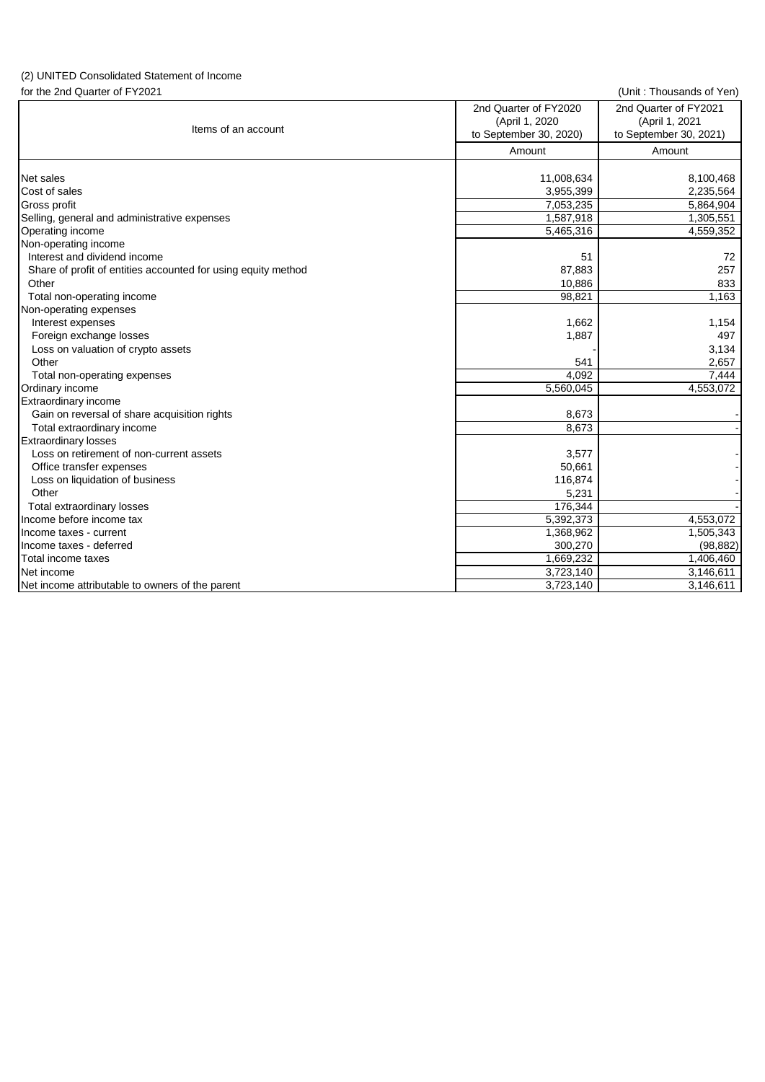# (2) UNITED Consolidated Statement of Income

for the 2nd Quarter of FY2021 (Unit : Thousands of Yen)

| Items of an account                                           | 2nd Quarter of FY2020<br>(April 1, 2020<br>to September 30, 2020) | 2nd Quarter of FY2021<br>(April 1, 2021<br>to September 30, 2021) |
|---------------------------------------------------------------|-------------------------------------------------------------------|-------------------------------------------------------------------|
|                                                               | Amount                                                            | Amount                                                            |
| Net sales                                                     | 11,008,634                                                        | 8,100,468                                                         |
| Cost of sales                                                 | 3,955,399                                                         | 2,235,564                                                         |
| Gross profit                                                  | 7,053,235                                                         | 5,864,904                                                         |
| Selling, general and administrative expenses                  | 1,587,918                                                         | 1,305,551                                                         |
| Operating income                                              | 5,465,316                                                         | 4,559,352                                                         |
| Non-operating income                                          |                                                                   |                                                                   |
| Interest and dividend income                                  | 51                                                                | 72                                                                |
| Share of profit of entities accounted for using equity method | 87,883                                                            | 257                                                               |
| Other                                                         | 10,886                                                            | 833                                                               |
| Total non-operating income                                    | 98,821                                                            | 1,163                                                             |
| Non-operating expenses                                        |                                                                   |                                                                   |
| Interest expenses                                             | 1,662                                                             | 1,154                                                             |
| Foreign exchange losses                                       | 1,887                                                             | 497                                                               |
| Loss on valuation of crypto assets                            |                                                                   | 3,134                                                             |
| Other                                                         | 541                                                               | 2,657                                                             |
| Total non-operating expenses                                  | 4.092                                                             | 7,444                                                             |
| Ordinary income                                               | 5,560,045                                                         | 4,553,072                                                         |
| <b>Extraordinary income</b>                                   |                                                                   |                                                                   |
| Gain on reversal of share acquisition rights                  | 8,673                                                             |                                                                   |
| Total extraordinary income                                    | 8,673                                                             |                                                                   |
| <b>Extraordinary losses</b>                                   |                                                                   |                                                                   |
| Loss on retirement of non-current assets                      | 3,577                                                             |                                                                   |
| Office transfer expenses                                      | 50,661                                                            |                                                                   |
| Loss on liquidation of business                               | 116,874                                                           |                                                                   |
| Other                                                         | 5,231                                                             |                                                                   |
| Total extraordinary losses                                    | 176,344                                                           |                                                                   |
| Income before income tax                                      | 5,392,373                                                         | 4,553,072                                                         |
| Income taxes - current                                        | 1,368,962                                                         | 1,505,343                                                         |
| Income taxes - deferred                                       | 300,270                                                           | (98, 882)                                                         |
| Total income taxes                                            | 1,669,232                                                         | 1,406,460                                                         |
| Net income                                                    | 3,723,140                                                         | 3,146,611                                                         |
| Net income attributable to owners of the parent               | 3,723,140                                                         | 3,146,611                                                         |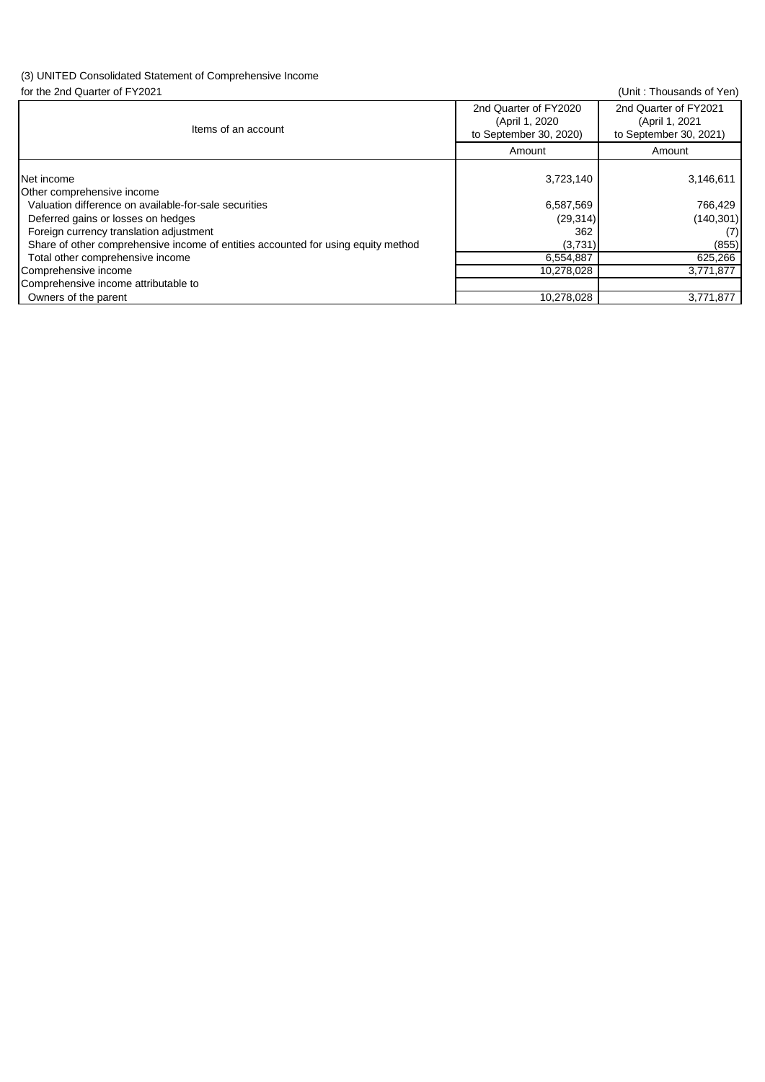## (3) UNITED Consolidated Statement of Comprehensive Income

| for the 2nd Quarter of FY2021                                                     |                                                                    | (Unit: Thousands of Yen)                                          |
|-----------------------------------------------------------------------------------|--------------------------------------------------------------------|-------------------------------------------------------------------|
| Items of an account                                                               | 2nd Quarter of FY2020<br>(April 1, 2020)<br>to September 30, 2020) | 2nd Quarter of FY2021<br>(April 1, 2021<br>to September 30, 2021) |
|                                                                                   | Amount                                                             | Amount                                                            |
| Net income<br>Other comprehensive income                                          | 3,723,140                                                          | 3,146,611                                                         |
| Valuation difference on available-for-sale securities                             | 6,587,569                                                          | 766,429                                                           |
| Deferred gains or losses on hedges                                                | (29, 314)                                                          | (140, 301)                                                        |
| Foreign currency translation adjustment                                           | 362                                                                | (7)                                                               |
| Share of other comprehensive income of entities accounted for using equity method | (3,731)                                                            | (855)                                                             |
| Total other comprehensive income                                                  | 6,554,887                                                          | 625,266                                                           |
| Comprehensive income                                                              | 10,278,028                                                         | 3,771,877                                                         |
| Comprehensive income attributable to                                              |                                                                    |                                                                   |
| Owners of the parent                                                              | 10,278,028                                                         | 3,771,877                                                         |